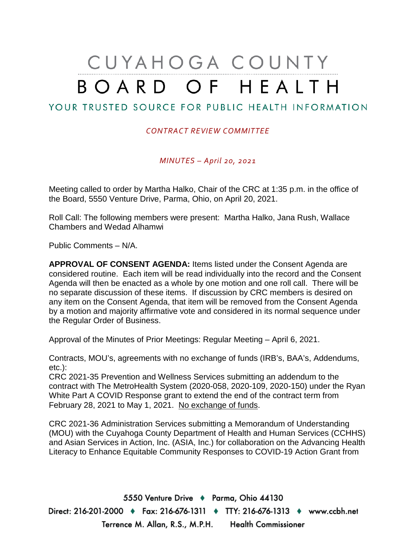## CUYAHOGA COUNTY BOARD OF HEALTH

## YOUR TRUSTED SOURCE FOR PUBLIC HEALTH INFORMATION

## *CONTRACT REVIEW COMMITTEE*

*MINUTES – April 20, 2021*

Meeting called to order by Martha Halko, Chair of the CRC at 1:35 p.m. in the office of the Board, 5550 Venture Drive, Parma, Ohio, on April 20, 2021.

Roll Call: The following members were present: Martha Halko, Jana Rush, Wallace Chambers and Wedad Alhamwi

Public Comments – N/A.

**APPROVAL OF CONSENT AGENDA:** Items listed under the Consent Agenda are considered routine. Each item will be read individually into the record and the Consent Agenda will then be enacted as a whole by one motion and one roll call. There will be no separate discussion of these items. If discussion by CRC members is desired on any item on the Consent Agenda, that item will be removed from the Consent Agenda by a motion and majority affirmative vote and considered in its normal sequence under the Regular Order of Business.

Approval of the Minutes of Prior Meetings: Regular Meeting – April 6, 2021.

Contracts, MOU's, agreements with no exchange of funds (IRB's, BAA's, Addendums, etc.):

CRC 2021-35 Prevention and Wellness Services submitting an addendum to the contract with The MetroHealth System (2020-058, 2020-109, 2020-150) under the Ryan White Part A COVID Response grant to extend the end of the contract term from February 28, 2021 to May 1, 2021. No exchange of funds.

CRC 2021-36 Administration Services submitting a Memorandum of Understanding (MOU) with the Cuyahoga County Department of Health and Human Services (CCHHS) and Asian Services in Action, Inc. (ASIA, Inc.) for collaboration on the Advancing Health Literacy to Enhance Equitable Community Responses to COVID-19 Action Grant from

5550 Venture Drive + Parma, Ohio 44130 Direct: 216-201-2000 ♦ Fax: 216-676-1311 ♦ TTY: 216-676-1313 ♦ www.ccbh.net Terrence M. Allan, R.S., M.P.H. Health Commissioner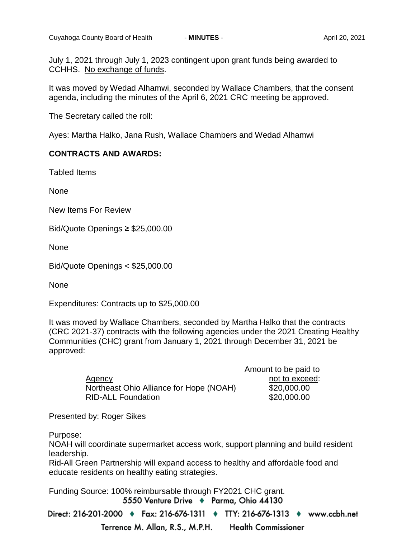July 1, 2021 through July 1, 2023 contingent upon grant funds being awarded to CCHHS. No exchange of funds.

It was moved by Wedad Alhamwi, seconded by Wallace Chambers, that the consent agenda, including the minutes of the April 6, 2021 CRC meeting be approved.

The Secretary called the roll:

Ayes: Martha Halko, Jana Rush, Wallace Chambers and Wedad Alhamwi

## **CONTRACTS AND AWARDS:**

Tabled Items

None

New Items For Review

Bid/Quote Openings ≥ \$25,000.00

None

Bid/Quote Openings < \$25,000.00

None

Expenditures: Contracts up to \$25,000.00

It was moved by Wallace Chambers, seconded by Martha Halko that the contracts (CRC 2021-37) contracts with the following agencies under the 2021 Creating Healthy Communities (CHC) grant from January 1, 2021 through December 31, 2021 be approved:

|                                         | Amount to be paid to |
|-----------------------------------------|----------------------|
| Agency                                  | not to exceed:       |
| Northeast Ohio Alliance for Hope (NOAH) | \$20,000.00          |
| <b>RID-ALL Foundation</b>               | \$20,000.00          |

Presented by: Roger Sikes

Purpose:

NOAH will coordinate supermarket access work, support planning and build resident leadership.

Rid-All Green Partnership will expand access to healthy and affordable food and educate residents on healthy eating strategies.

Funding Source: 100% reimbursable through FY2021 CHC grant.

Direct: 216-201-2000 ♦ Fax: 216-676-1311 ♦ TTY: 216-676-1313 ♦ www.ccbh.net

Terrence M. Allan, R.S., M.P.H. **Health Commissioner**